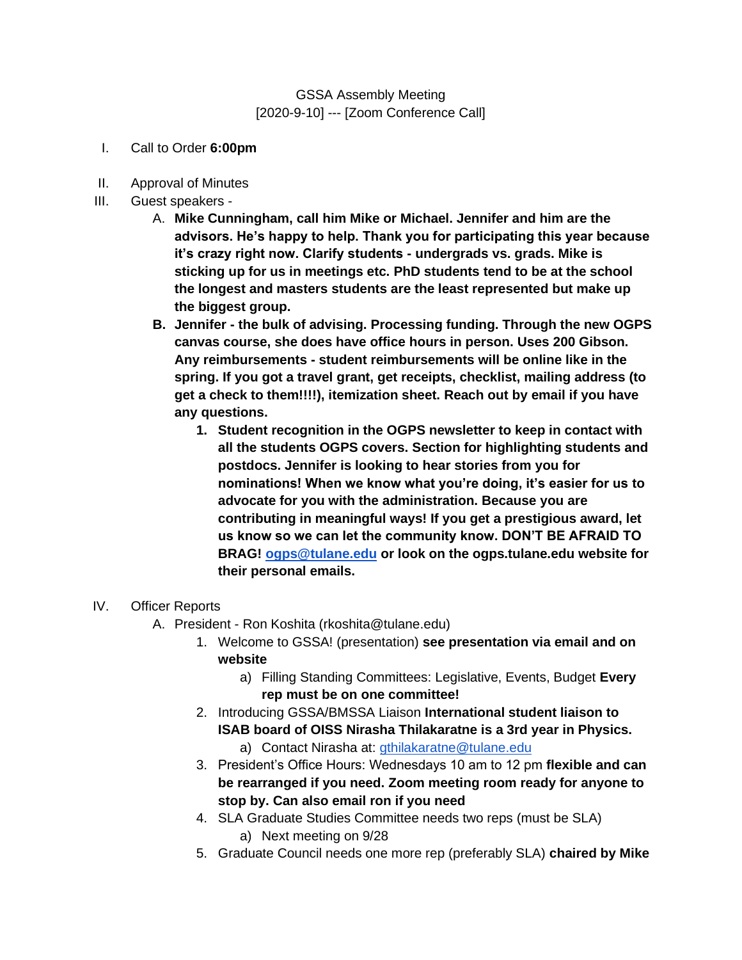#### GSSA Assembly Meeting [2020-9-10] --- [Zoom Conference Call]

- I. Call to Order **6:00pm**
- II. Approval of Minutes
- III. Guest speakers
	- A. **Mike Cunningham, call him Mike or Michael. Jennifer and him are the advisors. He's happy to help. Thank you for participating this year because it's crazy right now. Clarify students - undergrads vs. grads. Mike is sticking up for us in meetings etc. PhD students tend to be at the school the longest and masters students are the least represented but make up the biggest group.**
	- **B. Jennifer - the bulk of advising. Processing funding. Through the new OGPS canvas course, she does have office hours in person. Uses 200 Gibson. Any reimbursements - student reimbursements will be online like in the spring. If you got a travel grant, get receipts, checklist, mailing address (to get a check to them!!!!), itemization sheet. Reach out by email if you have any questions.** 
		- **1. Student recognition in the OGPS newsletter to keep in contact with all the students OGPS covers. Section for highlighting students and postdocs. Jennifer is looking to hear stories from you for nominations! When we know what you're doing, it's easier for us to advocate for you with the administration. Because you are contributing in meaningful ways! If you get a prestigious award, let us know so we can let the community know. DON'T BE AFRAID TO BRAG! [ogps@tulane.edu](mailto:ogps@tulane.edu) or look on the ogps.tulane.edu website for their personal emails.**

#### IV. Officer Reports

- A. President Ron Koshita (rkoshita@tulane.edu)
	- 1. Welcome to GSSA! (presentation) **see presentation via email and on website** 
		- a) Filling Standing Committees: Legislative, Events, Budget **Every rep must be on one committee!**
	- 2. Introducing GSSA/BMSSA Liaison **International student liaison to ISAB board of OISS Nirasha Thilakaratne is a 3rd year in Physics.**
		- a) Contact Nirasha at: *gthilakaratne@tulane.edu*
	- 3. President's Office Hours: Wednesdays 10 am to 12 pm **flexible and can be rearranged if you need. Zoom meeting room ready for anyone to stop by. Can also email ron if you need**
	- 4. SLA Graduate Studies Committee needs two reps (must be SLA) a) Next meeting on 9/28
	- 5. Graduate Council needs one more rep (preferably SLA) **chaired by Mike**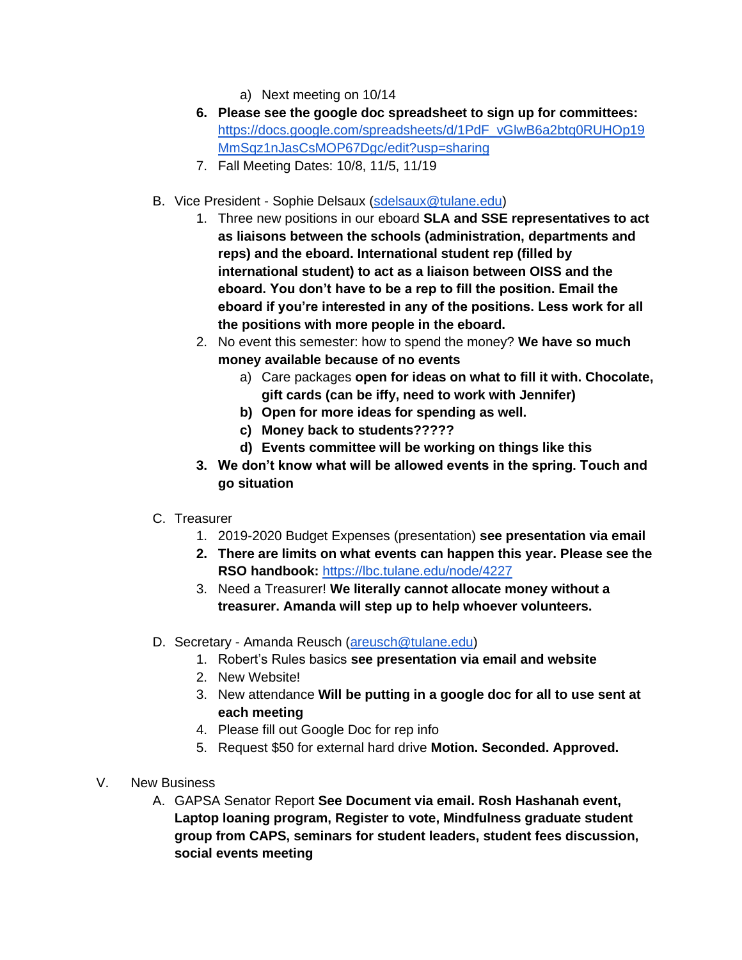- a) Next meeting on 10/14
- **6. Please see the google doc spreadsheet to sign up for committees:**  [https://docs.google.com/spreadsheets/d/1PdF\\_vGlwB6a2btq0RUHOp19](https://docs.google.com/spreadsheets/d/1PdF_vGlwB6a2btq0RUHOp19MmSqz1nJasCsMOP67Dgc/edit?usp=sharing) [MmSqz1nJasCsMOP67Dgc/edit?usp=sharing](https://docs.google.com/spreadsheets/d/1PdF_vGlwB6a2btq0RUHOp19MmSqz1nJasCsMOP67Dgc/edit?usp=sharing)
- 7. Fall Meeting Dates: 10/8, 11/5, 11/19
- B. Vice President Sophie Delsaux [\(sdelsaux@tulane.edu\)](mailto:sdelsaux@tulane.edu)
	- 1. Three new positions in our eboard **SLA and SSE representatives to act as liaisons between the schools (administration, departments and reps) and the eboard. International student rep (filled by international student) to act as a liaison between OISS and the eboard. You don't have to be a rep to fill the position. Email the eboard if you're interested in any of the positions. Less work for all the positions with more people in the eboard.**
	- 2. No event this semester: how to spend the money? **We have so much money available because of no events**
		- a) Care packages **open for ideas on what to fill it with. Chocolate, gift cards (can be iffy, need to work with Jennifer)**
		- **b) Open for more ideas for spending as well.**
		- **c) Money back to students?????**
		- **d) Events committee will be working on things like this**
	- **3. We don't know what will be allowed events in the spring. Touch and go situation**
- C. Treasurer
	- 1. 2019-2020 Budget Expenses (presentation) **see presentation via email**
	- **2. There are limits on what events can happen this year. Please see the RSO handbook:** <https://lbc.tulane.edu/node/4227>
	- 3. Need a Treasurer! **We literally cannot allocate money without a treasurer. Amanda will step up to help whoever volunteers.**
- D. Secretary Amanda Reusch [\(areusch@tulane.edu\)](mailto:areusch@tulane.edu)
	- 1. Robert's Rules basics **see presentation via email and website**
	- 2. New Website!
	- 3. New attendance **Will be putting in a google doc for all to use sent at each meeting**
	- 4. Please fill out Google Doc for rep info
	- 5. Request \$50 for external hard drive **Motion. Seconded. Approved.**
- V. New Business
	- A. GAPSA Senator Report **See Document via email. Rosh Hashanah event, Laptop loaning program, Register to vote, Mindfulness graduate student group from CAPS, seminars for student leaders, student fees discussion, social events meeting**